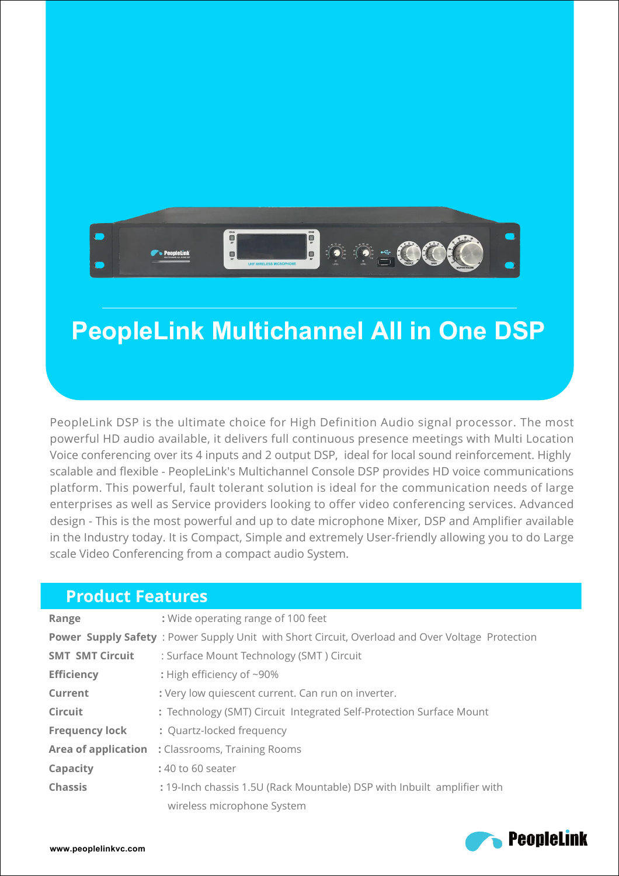

## **PeopleLink Multichannel All in One DSP**

PeopleLink DSP is the ultimate choice for High Definition Audio signal processor. The most powerful HD audio available, it delivers full continuous presence meetings with Multi Location Voice conferencing over its 4 inputs and 2 output DSP, ideal for local sound reinforcement. Highly scalable and flexible - PeopleLink's Multichannel Console DSP provides HD voice communications platform. This powerful, fault tolerant solution is ideal for the communication needs of large enterprises as well as Service providers looking to offer video conferencing services. Advanced design - This is the most powerful and up to date microphone Mixer, DSP and Amplifier available in the Industry today. It is Compact, Simple and extremely User-friendly allowing you to do Large scale Video Conferencing from a compact audio System.

| <b>Product Features</b> |                                                                                                 |  |
|-------------------------|-------------------------------------------------------------------------------------------------|--|
| Range                   | : Wide operating range of 100 feet                                                              |  |
|                         | Power Supply Safety: Power Supply Unit with Short Circuit, Overload and Over Voltage Protection |  |
| <b>SMT SMT Circuit</b>  | : Surface Mount Technology (SMT) Circuit                                                        |  |
| <b>Efficiency</b>       | : High efficiency of ~90%                                                                       |  |
| Current                 | : Very low quiescent current. Can run on inverter.                                              |  |
| <b>Circuit</b>          | : Technology (SMT) Circuit Integrated Self-Protection Surface Mount                             |  |
| <b>Frequency lock</b>   | : Quartz-locked frequency                                                                       |  |
|                         | Area of application : Classrooms, Training Rooms                                                |  |
| Capacity                | : 40 to 60 seater                                                                               |  |
| <b>Chassis</b>          | : 19-Inch chassis 1.5U (Rack Mountable) DSP with Inbuilt amplifier with                         |  |
|                         | wireless microphone System                                                                      |  |

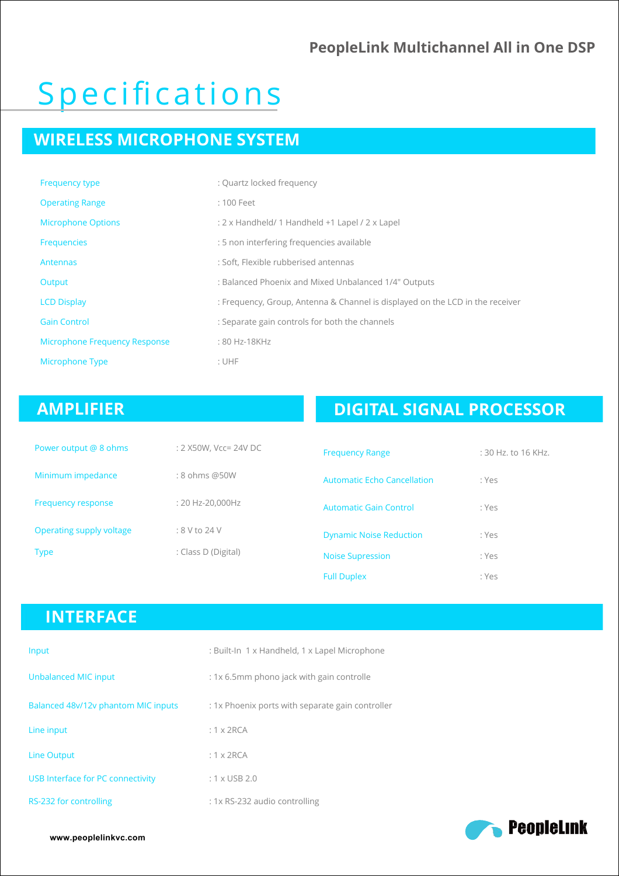#### **PeopleLink Multichannel All in One DSP**

# Specifications

### **WIRELESS MICROPHONE SYSTEM**

| <b>Frequency type</b>                | : Quartz locked frequency                                                     |
|--------------------------------------|-------------------------------------------------------------------------------|
| <b>Operating Range</b>               | : 100 Feet                                                                    |
| <b>Microphone Options</b>            | : 2 x Handheld/ 1 Handheld +1 Lapel / 2 x Lapel                               |
| Frequencies                          | : 5 non interfering frequencies available                                     |
| Antennas                             | : Soft, Flexible rubberised antennas                                          |
| Output                               | : Balanced Phoenix and Mixed Unbalanced 1/4" Outputs                          |
| <b>LCD Display</b>                   | : Frequency, Group, Antenna & Channel is displayed on the LCD in the receiver |
| <b>Gain Control</b>                  | : Separate gain controls for both the channels                                |
| <b>Microphone Frequency Response</b> | : 80 Hz-18KHz                                                                 |
| Microphone Type                      | : UHF                                                                         |

### **AMPLIFIER**

### **DIGITAL SIGNAL PROCESSOR**

| Power output @ 8 ohms     | : 2 X50W, Vcc= 24V DC | <b>Frequency Range</b>             | $:$ 30 Hz. to 16 KHz. |
|---------------------------|-----------------------|------------------------------------|-----------------------|
| Minimum impedance         | : 8 ohms @50W         | <b>Automatic Echo Cancellation</b> | : Yes                 |
| <b>Frequency response</b> | : 20 Hz-20,000Hz      | <b>Automatic Gain Control</b>      | : Yes                 |
| Operating supply voltage  | $:8$ V to 24 V        | <b>Dynamic Noise Reduction</b>     | : Yes                 |
| <b>Type</b>               | : Class D (Digital)   | <b>Noise Supression</b>            | : Yes                 |
|                           |                       | <b>Full Duplex</b>                 | : Yes                 |

#### **INTERFACE**

| Input                               | : Built-In 1 x Handheld, 1 x Lapel Microphone    |
|-------------------------------------|--------------------------------------------------|
| <b>Unbalanced MIC input</b>         | : 1x 6.5mm phono jack with gain controlle        |
| Balanced 48v/12v phantom MIC inputs | : 1x Phoenix ports with separate gain controller |
| Line input                          | $: 1 \times 2RCA$                                |
| <b>Line Output</b>                  | $: 1 \times 2RCA$                                |
| USB Interface for PC connectivity   | $: 1 \times$ USB 2.0                             |
| RS-232 for controlling              | : 1x RS-232 audio controlling                    |